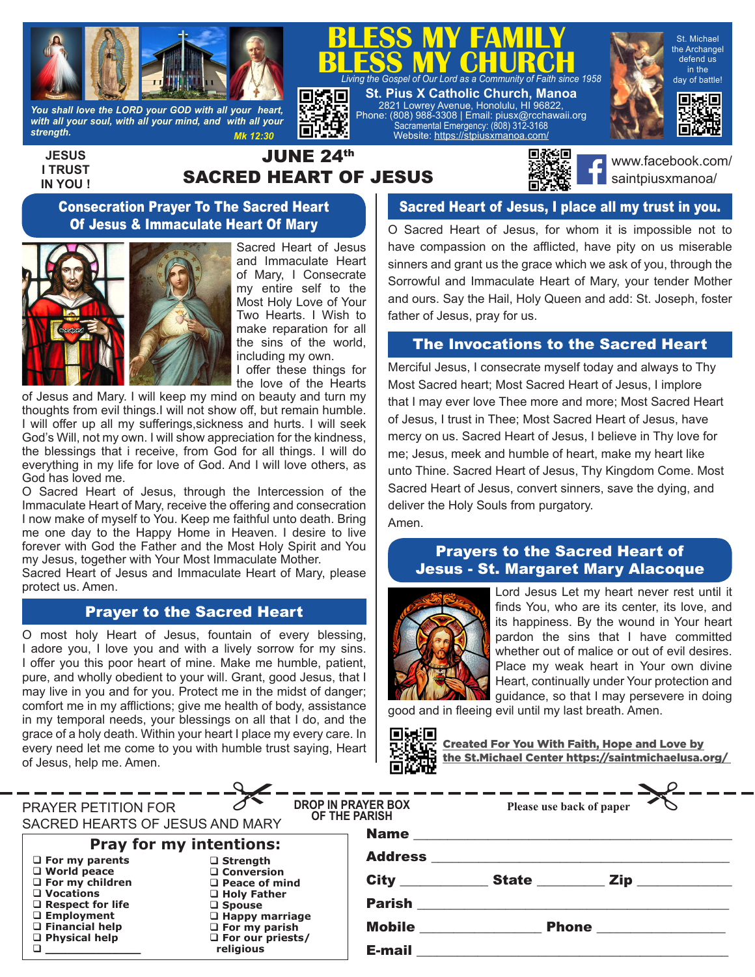

*You shall love the LORD your GOD with all your heart, with all your soul, with all your mind, and with all your strength. Mk 12:30*

**JESUS I TRUST IN YOU !**

# JUNE 24th SACRED HEART OF JESUS

E



**BLESS MY CHURCH**<br>*Living the Gospel of Our Lord as a Community of Faith since 1958* 

**BLESS MY FAMILY**

**St. Pius X Catholic Church, Manoa** 2821 Lowrey Avenue, Honolulu, HI 96822, Phone: (808) 988-3308 | Email: piusx@rcchawaii.org Sacramental Emergency: (808) 312-3168 Website: https://stpiusxmanoa.com/

> www.facebook.com/ saintpiusxmanoa/

St. Michael the Archangel defend us in the day of battle!

回转回

#### Consecration Prayer To The Sacred Heart Of Jesus & Immaculate Heart Of Mary



Sacred Heart of Jesus and Immaculate Heart of Mary, I Consecrate my entire self to the Most Holy Love of Your Two Hearts. I Wish to make reparation for all the sins of the world, including my own.

I offer these things for the love of the Hearts

of Jesus and Mary. I will keep my mind on beauty and turn my thoughts from evil things.I will not show off, but remain humble. I will offer up all my sufferings,sickness and hurts. I will seek God's Will, not my own. I will show appreciation for the kindness, the blessings that i receive, from God for all things. I will do everything in my life for love of God. And I will love others, as God has loved me.

O Sacred Heart of Jesus, through the Intercession of the Immaculate Heart of Mary, receive the offering and consecration I now make of myself to You. Keep me faithful unto death. Bring me one day to the Happy Home in Heaven. I desire to live forever with God the Father and the Most Holy Spirit and You my Jesus, together with Your Most Immaculate Mother.

Sacred Heart of Jesus and Immaculate Heart of Mary, please protect us. Amen.

#### Prayer to the Sacred Heart

O most holy Heart of Jesus, fountain of every blessing, I adore you, I love you and with a lively sorrow for my sins. I offer you this poor heart of mine. Make me humble, patient, pure, and wholly obedient to your will. Grant, good Jesus, that I may live in you and for you. Protect me in the midst of danger; comfort me in my afflictions; give me health of body, assistance in my temporal needs, your blessings on all that I do, and the grace of a holy death. Within your heart I place my every care. In every need let me come to you with humble trust saying, Heart of Jesus, help me. Amen.

### Sacred Heart of Jesus, I place all my trust in you.

O Sacred Heart of Jesus, for whom it is impossible not to have compassion on the afflicted, have pity on us miserable sinners and grant us the grace which we ask of you, through the Sorrowful and Immaculate Heart of Mary, your tender Mother and ours. Say the Hail, Holy Queen and add: St. Joseph, foster father of Jesus, pray for us.

#### The Invocations to the Sacred Heart

Merciful Jesus, I consecrate myself today and always to Thy Most Sacred heart; Most Sacred Heart of Jesus, I implore that I may ever love Thee more and more; Most Sacred Heart of Jesus, I trust in Thee; Most Sacred Heart of Jesus, have mercy on us. Sacred Heart of Jesus, I believe in Thy love for me; Jesus, meek and humble of heart, make my heart like unto Thine. Sacred Heart of Jesus, Thy Kingdom Come. Most Sacred Heart of Jesus, convert sinners, save the dying, and deliver the Holy Souls from purgatory. Amen.

#### Prayers to the Sacred Heart of Jesus - St. Margaret Mary Alacoque



Lord Jesus Let my heart never rest until it finds You, who are its center, its love, and its happiness. By the wound in Your heart pardon the sins that I have committed whether out of malice or out of evil desires. Place my weak heart in Your own divine Heart, continually under Your protection and guidance, so that I may persevere in doing

good and in fleeing evil until my last breath. Amen.

oxo Created For You With Faith, Hope and Love by the St.Michael Center https://saintmichaelusa.org/

|                                                                    |                                                                     | we w                                |                                                                                  |                                                 |
|--------------------------------------------------------------------|---------------------------------------------------------------------|-------------------------------------|----------------------------------------------------------------------------------|-------------------------------------------------|
|                                                                    |                                                                     |                                     |                                                                                  |                                                 |
| PRAYER PETITION FOR<br>SACRED HEARTS OF JESUS AND MARY             |                                                                     | DROP IN PRAYER BOX<br>OF THE PARISH | ------------ <del>Y-----------------------</del> Y--<br>Please use back of paper |                                                 |
| <b>Pray for my intentions:</b>                                     |                                                                     |                                     |                                                                                  |                                                 |
| $\Box$ World peace<br>$\Box$ For my children                       | $\Box$ Conversion<br>$\Box$ Peace of mind                           |                                     |                                                                                  |                                                 |
| $\Box$ Respect for life<br>$\Box$ Employment                       | $\square$ Spouse<br>$\Box$ Happy marriage                           |                                     |                                                                                  |                                                 |
| $\Box$ Physical help                                               | $\Box$ For our priests/<br>religious                                |                                     |                                                                                  |                                                 |
| $\Box$ For my parents<br>$\Box$ Vocations<br>$\Box$ Financial help | $\square$ Strength<br>$\Box$ Holy Father<br>$\square$ For my parish | <b>Mobile ________________</b>      |                                                                                  | Phone _________________<br><b>E-mail E-mail</b> |